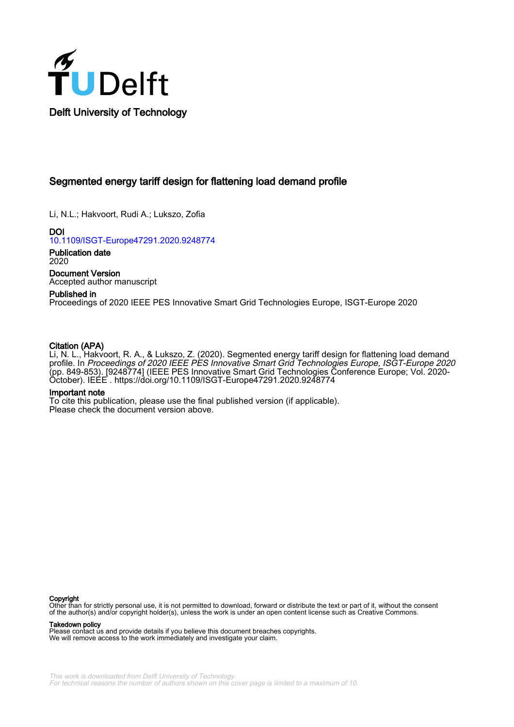

# Segmented energy tariff design for flattening load demand profile

Li, N.L.; Hakvoort, Rudi A.; Lukszo, Zofia

DOI [10.1109/ISGT-Europe47291.2020.9248774](https://doi.org/10.1109/ISGT-Europe47291.2020.9248774)

Publication date 2020

Document Version Accepted author manuscript

# Published in

Proceedings of 2020 IEEE PES Innovative Smart Grid Technologies Europe, ISGT-Europe 2020

# Citation (APA)

Li, N. L., Hakvoort, R. A., & Lukszo, Z. (2020). Segmented energy tariff design for flattening load demand profile. In Proceedings of 2020 IEEE PES Innovative Smart Grid Technologies Europe, ISGT-Europe 2020 (pp. 849-853). [9248774] (IEEE PES Innovative Smart Grid Technologies Conference Europe; Vol. 2020- October). IEEE .<https://doi.org/10.1109/ISGT-Europe47291.2020.9248774>

# Important note

To cite this publication, please use the final published version (if applicable). Please check the document version above.

# **Copyright**

Other than for strictly personal use, it is not permitted to download, forward or distribute the text or part of it, without the consent of the author(s) and/or copyright holder(s), unless the work is under an open content license such as Creative Commons.

# Takedown policy

Please contact us and provide details if you believe this document breaches copyrights. We will remove access to the work immediately and investigate your claim.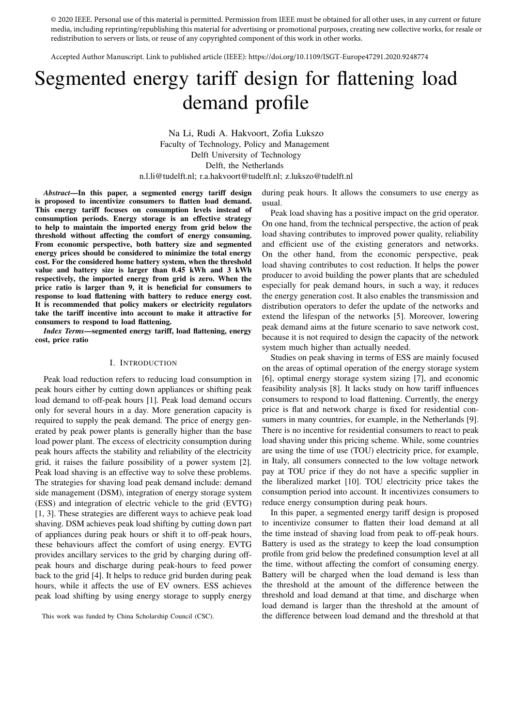© 2020 IEEE. Personal use of this material is permitted. Permission from IEEE must be obtained for all other uses, in any current or future media, including reprinting/republishing this material for advertising or promotional purposes, creating new collective works, for resale or redistribution to servers or lists, or reuse of any copyrighted component of this work in other works.

Accepted Author Manuscript. Link to published article (IEEE): https://doi.org/10.1109/ISGT-Europe47291.2020.9248774

# Segmented energy tariff design for flattening load demand profile

Na Li, Rudi A. Hakvoort, Zofia Lukszo Faculty of Technology, Policy and Management Delft University of Technology Delft, the Netherlands n.l.li@tudelft.nl; r.a.hakvoort@tudelft.nl; z.lukszo@tudelft.nl

*Abstract*—In this paper, a segmented energy tariff design is proposed to incentivize consumers to flatten load demand. This energy tariff focuses on consumption levels instead of consumption periods. Energy storage is an effective strategy to help to maintain the imported energy from grid below the threshold without affecting the comfort of energy consuming. From economic perspective, both battery size and segmented energy prices should be considered to minimize the total energy cost. For the considered home battery system, when the threshold value and battery size is larger than 0.45 kWh and 3 kWh respectively, the imported energy from grid is zero. When the price ratio is larger than 9, it is beneficial for consumers to response to load flattening with battery to reduce energy cost. It is recommended that policy makers or electricity regulators take the tariff incentive into account to make it attractive for consumers to respond to load flattening.

*Index Terms*—segmented energy tariff, load flattening, energy cost, price ratio

# I. INTRODUCTION

Peak load reduction refers to reducing load consumption in peak hours either by cutting down appliances or shifting peak load demand to off-peak hours [1]. Peak load demand occurs only for several hours in a day. More generation capacity is required to supply the peak demand. The price of energy generated by peak power plants is generally higher than the base load power plant. The excess of electricity consumption during peak hours affects the stability and reliability of the electricity grid, it raises the failure possibility of a power system [2]. Peak load shaving is an effective way to solve these problems. The strategies for shaving load peak demand include: demand side management (DSM), integration of energy storage system (ESS) and integration of electric vehicle to the grid (EVTG) [1, 3]. These strategies are different ways to achieve peak load shaving. DSM achieves peak load shifting by cutting down part of appliances during peak hours or shift it to off-peak hours, these behaviours affect the comfort of using energy. EVTG provides ancillary services to the grid by charging during offpeak hours and discharge during peak-hours to feed power back to the grid [4]. It helps to reduce grid burden during peak hours, while it affects the use of EV owners. ESS achieves peak load shifting by using energy storage to supply energy

during peak hours. It allows the consumers to use energy as usual.

Peak load shaving has a positive impact on the grid operator. On one hand, from the technical perspective, the action of peak load shaving contributes to improved power quality, reliability and efficient use of the existing generators and networks. On the other hand, from the economic perspective, peak load shaving contributes to cost reduction. It helps the power producer to avoid building the power plants that are scheduled especially for peak demand hours, in such a way, it reduces the energy generation cost. It also enables the transmission and distribution operators to defer the update of the networks and extend the lifespan of the networks [5]. Moreover, lowering peak demand aims at the future scenario to save network cost, because it is not required to design the capacity of the network system much higher than actually needed.

Studies on peak shaving in terms of ESS are mainly focused on the areas of optimal operation of the energy storage system [6], optimal energy storage system sizing [7], and economic feasibility analysis [8]. It lacks study on how tariff influences consumers to respond to load flattening. Currently, the energy price is flat and network charge is fixed for residential consumers in many countries, for example, in the Netherlands [9]. There is no incentive for residential consumers to react to peak load shaving under this pricing scheme. While, some countries are using the time of use (TOU) electricity price, for example, in Italy, all consumers connected to the low voltage network pay at TOU price if they do not have a specific supplier in the liberalized market [10]. TOU electricity price takes the consumption period into account. It incentivizes consumers to reduce energy consumption during peak hours.

In this paper, a segmented energy tariff design is proposed to incentivize consumer to flatten their load demand at all the time instead of shaving load from peak to off-peak hours. Battery is used as the strategy to keep the load consumption profile from grid below the predefined consumption level at all the time, without affecting the comfort of consuming energy. Battery will be charged when the load demand is less than the threshold at the amount of the difference between the threshold and load demand at that time, and discharge when load demand is larger than the threshold at the amount of the difference between load demand and the threshold at that

This work was funded by China Scholarship Council (CSC).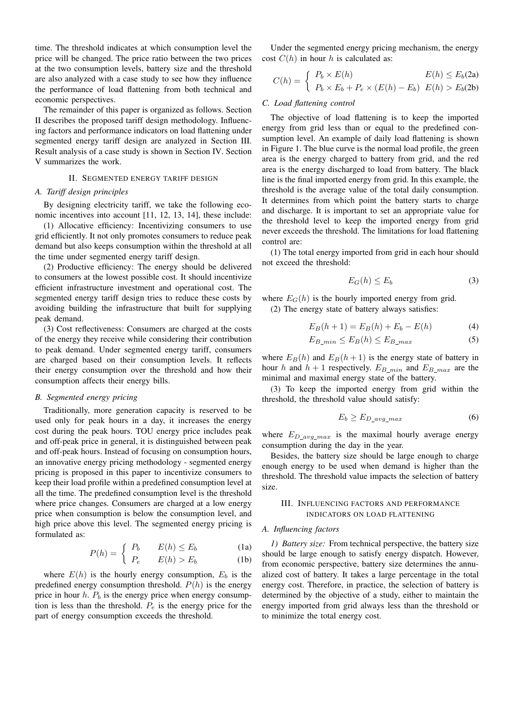time. The threshold indicates at which consumption level the price will be changed. The price ratio between the two prices at the two consumption levels, battery size and the threshold are also analyzed with a case study to see how they influence the performance of load flattening from both technical and economic perspectives.

The remainder of this paper is organized as follows. Section II describes the proposed tariff design methodology. Influencing factors and performance indicators on load flattening under segmented energy tariff design are analyzed in Section III. Result analysis of a case study is shown in Section IV. Section V summarizes the work.

## II. SEGMENTED ENERGY TARIFF DESIGN

# A. Tariff design principles

By designing electricity tariff, we take the following economic incentives into account [11, 12, 13, 14], these include:

(1) Allocative efficiency: Incentivizing consumers to use grid efficiently. It not only promotes consumers to reduce peak demand but also keeps consumption within the threshold at all the time under segmented energy tariff design.

(2) Productive efficiency: The energy should be delivered to consumers at the lowest possible cost. It should incentivize efficient infrastructure investment and operational cost. The segmented energy tariff design tries to reduce these costs by avoiding building the infrastructure that built for supplying peak demand.

(3) Cost reflectiveness: Consumers are charged at the costs of the energy they receive while considering their contribution to peak demand. Under segmented energy tariff, consumers are charged based on their consumption levels. It reflects their energy consumption over the threshold and how their consumption affects their energy bills.

# B. Segmented energy pricing

Traditionally, more generation capacity is reserved to be used only for peak hours in a day, it increases the energy cost during the peak hours. TOU energy price includes peak and off-peak price in general, it is distinguished between peak and off-peak hours. Instead of focusing on consumption hours, an innovative energy pricing methodology - segmented energy pricing is proposed in this paper to incentivize consumers to keep their load profile within a predefined consumption level at all the time. The predefined consumption level is the threshold where price changes. Consumers are charged at a low energy price when consumption is below the consumption level, and high price above this level. The segmented energy pricing is formulated as:

$$
P(h) = \begin{cases} P_b & E(h) \le E_b \\ \sum_{k=1}^{n} P_k(h) & \text{if } k \le E_b \end{cases} \tag{1a}
$$

$$
(P_e - E(h) > E_b \tag{1b}
$$

where  $E(h)$  is the hourly energy consumption,  $E_b$  is the predefined energy consumption threshold.  $P(h)$  is the energy price in hour  $h$ .  $P_b$  is the energy price when energy consumption is less than the threshold.  $P_e$  is the energy price for the part of energy consumption exceeds the threshold.

Under the segmented energy pricing mechanism, the energy cost  $C(h)$  in hour h is calculated as:

$$
C(h) = \begin{cases} P_b \times E(h) & E(h) \le E_b(2a) \\ P_b \times E_b + P_e \times (E(h) - E_b) & E(h) > E_b(2b) \end{cases}
$$

## C. Load flattening control

The objective of load flattening is to keep the imported energy from grid less than or equal to the predefined consumption level. An example of daily load flattening is shown in Figure 1. The blue curve is the normal load profile, the green area is the energy charged to battery from grid, and the red area is the energy discharged to load from battery. The black line is the final imported energy from grid. In this example, the threshold is the average value of the total daily consumption. It determines from which point the battery starts to charge and discharge. It is important to set an appropriate value for the threshold level to keep the imported energy from grid never exceeds the threshold. The limitations for load flattening control are:

(1) The total energy imported from grid in each hour should not exceed the threshold:

$$
E_G(h) \le E_b \tag{3}
$$

where  $E_G(h)$  is the hourly imported energy from grid.

(2) The energy state of battery always satisfies:

$$
E_B(h+1) = E_B(h) + E_b - E(h)
$$
 (4)

$$
E_{B\_min} \le E_B(h) \le E_{B\_max} \tag{5}
$$

where  $E_B(h)$  and  $E_B(h+1)$  is the energy state of battery in hour h and  $h + 1$  respectively.  $E_{B\_min}$  and  $E_{B\_max}$  are the minimal and maximal energy state of the battery.

(3) To keep the imported energy from grid within the threshold, the threshold value should satisfy:

$$
E_b \ge E_{D\,\,avg\,\,max} \tag{6}
$$

where  $E_{D\,avg\,max}$  is the maximal hourly average energy consumption during the day in the year.

Besides, the battery size should be large enough to charge enough energy to be used when demand is higher than the threshold. The threshold value impacts the selection of battery size.

# III. INFLUENCING FACTORS AND PERFORMANCE INDICATORS ON LOAD FLATTENING

#### A. Influencing factors

1) Battery size: From technical perspective, the battery size should be large enough to satisfy energy dispatch. However, from economic perspective, battery size determines the annualized cost of battery. It takes a large percentage in the total energy cost. Therefore, in practice, the selection of battery is determined by the objective of a study, either to maintain the energy imported from grid always less than the threshold or to minimize the total energy cost.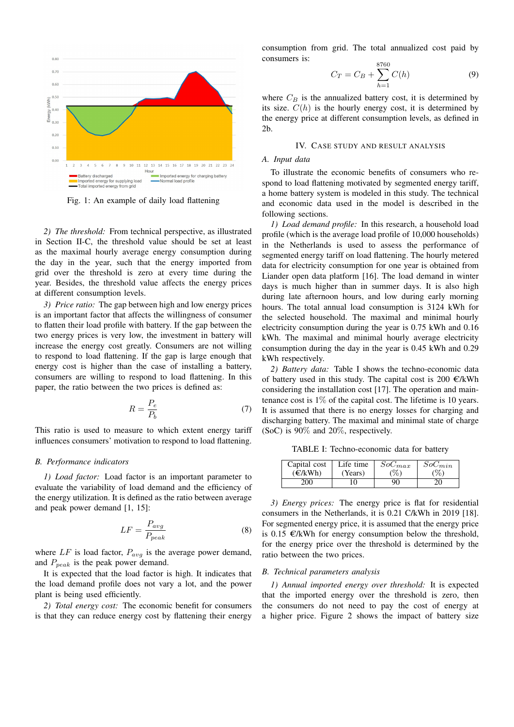

Fig. 1: An example of daily load flattening

2) The threshold: From technical perspective, as illustrated in Section II-C, the threshold value should be set at least as the maximal hourly average energy consumption during the day in the year, such that the energy imported from grid over the threshold is zero at every time during the year. Besides, the threshold value affects the energy prices at different consumption levels.

3) Price ratio: The gap between high and low energy prices is an important factor that affects the willingness of consumer to flatten their load profile with battery. If the gap between the two energy prices is very low, the investment in battery will increase the energy cost greatly. Consumers are not willing to respond to load flattening. If the gap is large enough that energy cost is higher than the case of installing a battery, consumers are willing to respond to load flattening. In this paper, the ratio between the two prices is defined as:

$$
R = \frac{P_e}{P_b} \tag{7}
$$

This ratio is used to measure to which extent energy tariff influences consumers' motivation to respond to load flattening.

#### **B.** Performance indicators

1) Load factor: Load factor is an important parameter to evaluate the variability of load demand and the efficiency of the energy utilization. It is defined as the ratio between average and peak power demand  $[1, 15]$ :

$$
LF = \frac{P_{avg}}{P_{peak}}\tag{8}
$$

where  $LF$  is load factor,  $P_{avg}$  is the average power demand, and  $P_{peak}$  is the peak power demand.

It is expected that the load factor is high. It indicates that the load demand profile does not vary a lot, and the power plant is being used efficiently.

2) Total energy cost: The economic benefit for consumers is that they can reduce energy cost by flattening their energy consumption from grid. The total annualized cost paid by consumers is:

$$
C_T = C_B + \sum_{h=1}^{8000} C(h) \tag{9}
$$

where  $C_B$  is the annualized battery cost, it is determined by its size.  $C(h)$  is the hourly energy cost, it is determined by the energy price at different consumption levels, as defined in  $2<sub>b</sub>$ .

# IV. CASE STUDY AND RESULT ANALYSIS

# A. Input data

To illustrate the economic benefits of consumers who respond to load flattening motivated by segmented energy tariff, a home battery system is modeled in this study. The technical and economic data used in the model is described in the following sections.

1) Load demand profile: In this research, a household load profile (which is the average load profile of 10,000 households) in the Netherlands is used to assess the performance of segmented energy tariff on load flattening. The hourly metered data for electricity consumption for one year is obtained from Liander open data platform [16]. The load demand in winter days is much higher than in summer days. It is also high during late afternoon hours, and low during early morning hours. The total annual load consumption is 3124 kWh for the selected household. The maximal and minimal hourly electricity consumption during the year is 0.75 kWh and 0.16 kWh. The maximal and minimal hourly average electricity consumption during the day in the year is 0.45 kWh and 0.29 kWh respectively.

2) Battery data: Table I shows the techno-economic data of battery used in this study. The capital cost is 200  $\epsilon$ /kWh considering the installation cost [17]. The operation and maintenance cost is  $1\%$  of the capital cost. The lifetime is 10 years. It is assumed that there is no energy losses for charging and discharging battery. The maximal and minimal state of charge (SoC) is  $90\%$  and  $20\%$ , respectively.

TABLE I: Techno-economic data for battery

| Capital cost | Life time | $SoC_{max}$ | $SoC_{min}$ |
|--------------|-----------|-------------|-------------|
| (E/kWh)      | (Years)   | $\%$ )      | %           |
| 200          |           | 90          |             |

3) Energy prices: The energy price is flat for residential consumers in the Netherlands, it is 0.21 C/kWh in 2019 [18]. For segmented energy price, it is assumed that the energy price is 0.15  $\epsilon$ /kWh for energy consumption below the threshold, for the energy price over the threshold is determined by the ratio between the two prices.

# B. Technical parameters analysis

1) Annual imported energy over threshold: It is expected that the imported energy over the threshold is zero, then the consumers do not need to pay the cost of energy at a higher price. Figure 2 shows the impact of battery size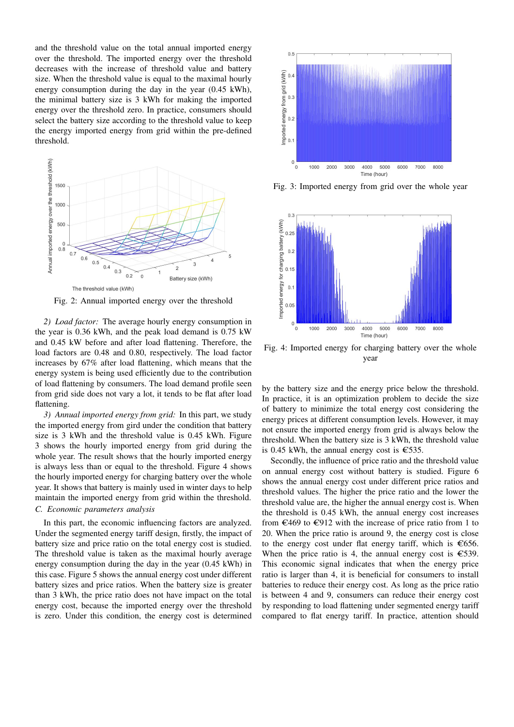and the threshold value on the total annual imported energy over the threshold. The imported energy over the threshold decreases with the increase of threshold value and battery size. When the threshold value is equal to the maximal hourly energy consumption during the day in the year (0.45 kWh), the minimal battery size is 3 kWh for making the imported energy over the threshold zero. In practice, consumers should select the battery size according to the threshold value to keep the energy imported energy from grid within the pre-defined threshold.



Fig. 2: Annual imported energy over the threshold

2) Load factor: The average hourly energy consumption in the year is 0.36 kWh, and the peak load demand is 0.75 kW and 0.45 kW before and after load flattening. Therefore, the load factors are 0.48 and 0.80, respectively. The load factor increases by 67% after load flattening, which means that the energy system is being used efficiently due to the contribution of load flattening by consumers. The load demand profile seen from grid side does not vary a lot, it tends to be flat after load flattening.

3) Annual imported energy from grid: In this part, we study the imported energy from gird under the condition that battery size is 3 kWh and the threshold value is 0.45 kWh. Figure 3 shows the hourly imported energy from grid during the whole year. The result shows that the hourly imported energy is always less than or equal to the threshold. Figure 4 shows the hourly imported energy for charging battery over the whole year. It shows that battery is mainly used in winter days to help maintain the imported energy from grid within the threshold. C. Economic parameters analysis

In this part, the economic influencing factors are analyzed. Under the segmented energy tariff design, firstly, the impact of battery size and price ratio on the total energy cost is studied. The threshold value is taken as the maximal hourly average energy consumption during the day in the year (0.45 kWh) in this case. Figure 5 shows the annual energy cost under different battery sizes and price ratios. When the battery size is greater than 3 kWh, the price ratio does not have impact on the total energy cost, because the imported energy over the threshold is zero. Under this condition, the energy cost is determined



Fig. 3: Imported energy from grid over the whole year



Fig. 4: Imported energy for charging battery over the whole year

by the battery size and the energy price below the threshold. In practice, it is an optimization problem to decide the size of battery to minimize the total energy cost considering the energy prices at different consumption levels. However, it may not ensure the imported energy from grid is always below the threshold. When the battery size is 3 kWh, the threshold value is 0.45 kWh, the annual energy cost is  $\epsilon$ 535.

Secondly, the influence of price ratio and the threshold value on annual energy cost without battery is studied. Figure 6 shows the annual energy cost under different price ratios and threshold values. The higher the price ratio and the lower the threshold value are, the higher the annual energy cost is. When the threshold is 0.45 kWh, the annual energy cost increases from  $\epsilon$ 469 to  $\epsilon$ 912 with the increase of price ratio from 1 to 20. When the price ratio is around 9, the energy cost is close to the energy cost under flat energy tariff, which is  $\epsilon$ 656. When the price ratio is 4, the annual energy cost is  $\epsilon$ 539. This economic signal indicates that when the energy price ratio is larger than 4, it is beneficial for consumers to install batteries to reduce their energy cost. As long as the price ratio is between 4 and 9, consumers can reduce their energy cost by responding to load flattening under segmented energy tariff compared to flat energy tariff. In practice, attention should